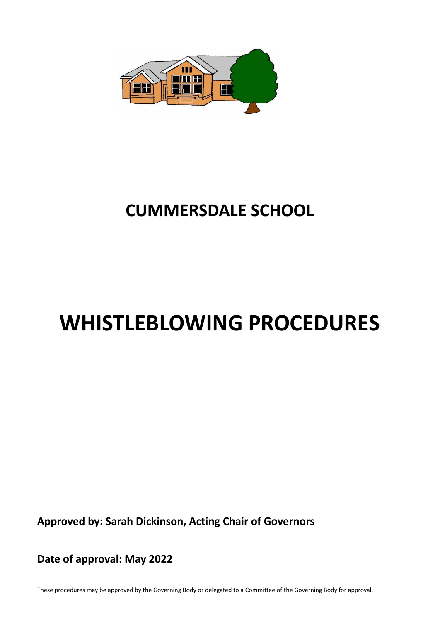

# **CUMMERSDALE SCHOOL**

# **WHISTLEBLOWING PROCEDURES**

**Approved by: Sarah Dickinson, Acting Chair of Governors**

**Date of approval: May 2022**

These procedures may be approved by the Governing Body or delegated to a Committee of the Governing Body for approval.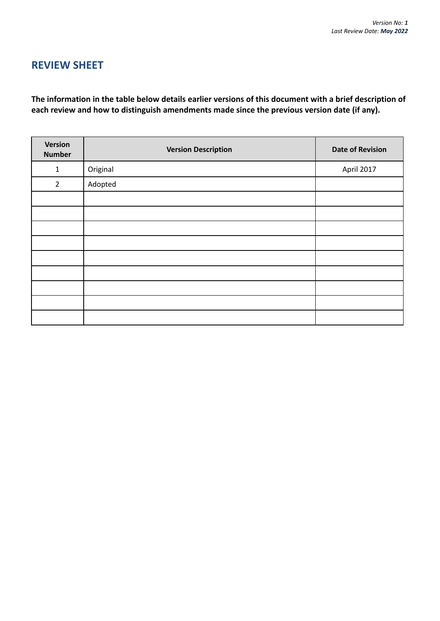# **REVIEW SHEET**

**The information in the table below details earlier versions of this document with a brief description of each review and how to distinguish amendments made since the previous version date (if any).**

| Version<br><b>Number</b> | <b>Version Description</b> | <b>Date of Revision</b> |
|--------------------------|----------------------------|-------------------------|
| $\mathbf{1}$             | Original                   | April 2017              |
| $\overline{2}$           | Adopted                    |                         |
|                          |                            |                         |
|                          |                            |                         |
|                          |                            |                         |
|                          |                            |                         |
|                          |                            |                         |
|                          |                            |                         |
|                          |                            |                         |
|                          |                            |                         |
|                          |                            |                         |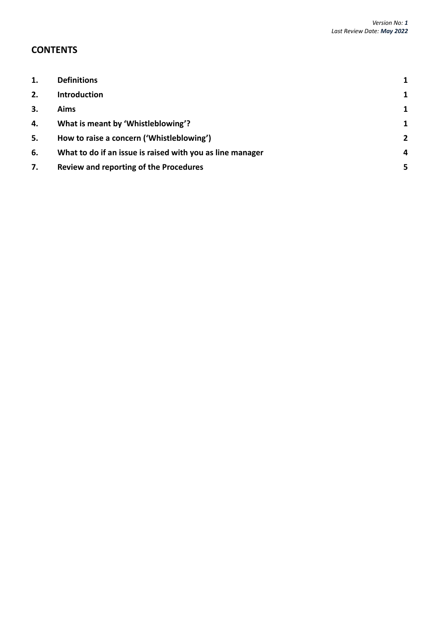# **CONTENTS**

| 1. | <b>Definitions</b>                                        | 1              |
|----|-----------------------------------------------------------|----------------|
| 2. | <b>Introduction</b>                                       | $\mathbf{1}$   |
| 3. | Aims                                                      | 1              |
| 4. | What is meant by 'Whistleblowing'?                        | $\mathbf{1}$   |
| 5. | How to raise a concern ('Whistleblowing')                 | $\overline{2}$ |
| 6. | What to do if an issue is raised with you as line manager | 4              |
| 7. | Review and reporting of the Procedures                    | 5              |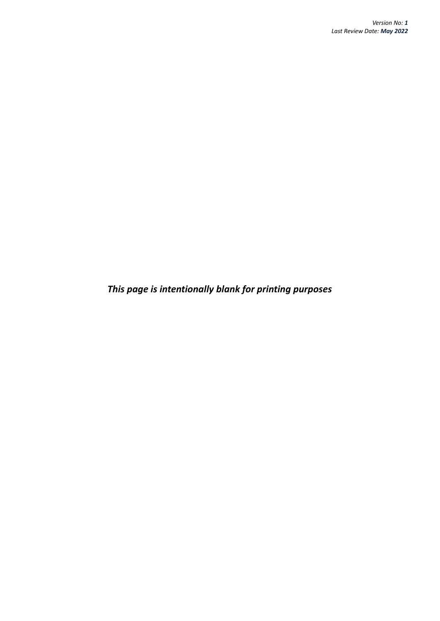*This page is intentionally blank for printing purposes*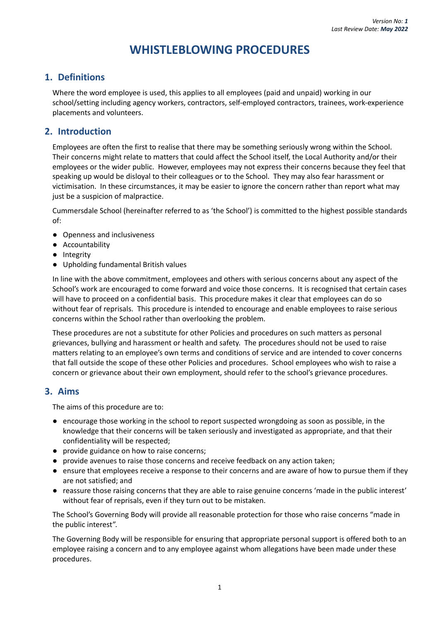# **WHISTLEBLOWING PROCEDURES**

## <span id="page-4-0"></span>**1. Definitions**

Where the word employee is used, this applies to all employees (paid and unpaid) working in our school/setting including agency workers, contractors, self-employed contractors, trainees, work-experience placements and volunteers.

#### <span id="page-4-1"></span>**2. Introduction**

Employees are often the first to realise that there may be something seriously wrong within the School. Their concerns might relate to matters that could affect the School itself, the Local Authority and/or their employees or the wider public. However, employees may not express their concerns because they feel that speaking up would be disloyal to their colleagues or to the School. They may also fear harassment or victimisation. In these circumstances, it may be easier to ignore the concern rather than report what may just be a suspicion of malpractice.

Cummersdale School (hereinafter referred to as 'the School') is committed to the highest possible standards of:

- Openness and inclusiveness
- Accountability
- Integrity
- Upholding fundamental British values

In line with the above commitment, employees and others with serious concerns about any aspect of the School's work are encouraged to come forward and voice those concerns. It is recognised that certain cases will have to proceed on a confidential basis. This procedure makes it clear that employees can do so without fear of reprisals. This procedure is intended to encourage and enable employees to raise serious concerns within the School rather than overlooking the problem.

These procedures are not a substitute for other Policies and procedures on such matters as personal grievances, bullying and harassment or health and safety. The procedures should not be used to raise matters relating to an employee's own terms and conditions of service and are intended to cover concerns that fall outside the scope of these other Policies and procedures. School employees who wish to raise a concern or grievance about their own employment, should refer to the school's grievance procedures.

#### <span id="page-4-2"></span>**3. Aims**

The aims of this procedure are to:

- encourage those working in the school to report suspected wrongdoing as soon as possible, in the knowledge that their concerns will be taken seriously and investigated as appropriate, and that their confidentiality will be respected;
- provide guidance on how to raise concerns;
- provide avenues to raise those concerns and receive feedback on any action taken;
- ensure that employees receive a response to their concerns and are aware of how to pursue them if they are not satisfied; and
- reassure those raising concerns that they are able to raise genuine concerns 'made in the public interest' without fear of reprisals, even if they turn out to be mistaken.

The School's Governing Body will provide all reasonable protection for those who raise concerns "made in the public interest".

<span id="page-4-3"></span>The Governing Body will be responsible for ensuring that appropriate personal support is offered both to an employee raising a concern and to any employee against whom allegations have been made under these procedures.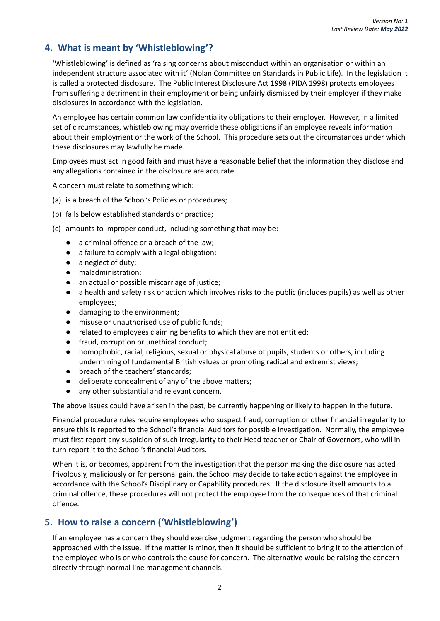## **4. What is meant by 'Whistleblowing'?**

'Whistleblowing' is defined as 'raising concerns about misconduct within an organisation or within an independent structure associated with it' (Nolan Committee on Standards in Public Life). In the legislation it is called a protected disclosure. The Public Interest Disclosure Act 1998 (PIDA 1998) protects employees from suffering a detriment in their employment or being unfairly dismissed by their employer if they make disclosures in accordance with the legislation.

An employee has certain common law confidentiality obligations to their employer. However, in a limited set of circumstances, whistleblowing may override these obligations if an employee reveals information about their employment or the work of the School. This procedure sets out the circumstances under which these disclosures may lawfully be made.

Employees must act in good faith and must have a reasonable belief that the information they disclose and any allegations contained in the disclosure are accurate.

A concern must relate to something which:

- (a) is a breach of the School's Policies or procedures;
- (b) falls below established standards or practice;
- (c) amounts to improper conduct, including something that may be:
	- a criminal offence or a breach of the law;
	- a failure to comply with a legal obligation;
	- a neglect of duty;
	- maladministration;
	- an actual or possible miscarriage of justice;
	- a health and safety risk or action which involves risks to the public (includes pupils) as well as other employees;
	- damaging to the environment;
	- misuse or unauthorised use of public funds;
	- related to employees claiming benefits to which they are not entitled;
	- fraud, corruption or unethical conduct;
	- homophobic, racial, religious, sexual or physical abuse of pupils, students or others, including undermining of fundamental British values or promoting radical and extremist views;
	- breach of the teachers' standards;
	- deliberate concealment of any of the above matters;
	- any other substantial and relevant concern.

The above issues could have arisen in the past, be currently happening or likely to happen in the future.

Financial procedure rules require employees who suspect fraud, corruption or other financial irregularity to ensure this is reported to the School's financial Auditors for possible investigation. Normally, the employee must first report any suspicion of such irregularity to their Head teacher or Chair of Governors, who will in turn report it to the School's financial Auditors.

When it is, or becomes, apparent from the investigation that the person making the disclosure has acted frivolously, maliciously or for personal gain, the School may decide to take action against the employee in accordance with the School's Disciplinary or Capability procedures. If the disclosure itself amounts to a criminal offence, these procedures will not protect the employee from the consequences of that criminal offence.

#### <span id="page-5-0"></span>**5. How to raise a concern ('Whistleblowing')**

If an employee has a concern they should exercise judgment regarding the person who should be approached with the issue. If the matter is minor, then it should be sufficient to bring it to the attention of the employee who is or who controls the cause for concern. The alternative would be raising the concern directly through normal line management channels.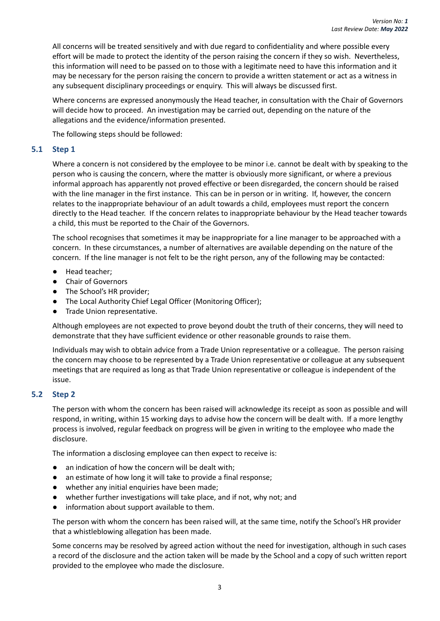All concerns will be treated sensitively and with due regard to confidentiality and where possible every effort will be made to protect the identity of the person raising the concern if they so wish. Nevertheless, this information will need to be passed on to those with a legitimate need to have this information and it may be necessary for the person raising the concern to provide a written statement or act as a witness in any subsequent disciplinary proceedings or enquiry. This will always be discussed first.

Where concerns are expressed anonymously the Head teacher, in consultation with the Chair of Governors will decide how to proceed. An investigation may be carried out, depending on the nature of the allegations and the evidence/information presented.

The following steps should be followed:

#### **5.1 Step 1**

Where a concern is not considered by the employee to be minor i.e. cannot be dealt with by speaking to the person who is causing the concern, where the matter is obviously more significant, or where a previous informal approach has apparently not proved effective or been disregarded, the concern should be raised with the line manager in the first instance. This can be in person or in writing. If, however, the concern relates to the inappropriate behaviour of an adult towards a child, employees must report the concern directly to the Head teacher. If the concern relates to inappropriate behaviour by the Head teacher towards a child, this must be reported to the Chair of the Governors.

The school recognises that sometimes it may be inappropriate for a line manager to be approached with a concern. In these circumstances, a number of alternatives are available depending on the nature of the concern. If the line manager is not felt to be the right person, any of the following may be contacted:

- Head teacher;
- Chair of Governors
- The School's HR provider;
- The Local Authority Chief Legal Officer (Monitoring Officer);
- Trade Union representative.

Although employees are not expected to prove beyond doubt the truth of their concerns, they will need to demonstrate that they have sufficient evidence or other reasonable grounds to raise them.

Individuals may wish to obtain advice from a Trade Union representative or a colleague. The person raising the concern may choose to be represented by a Trade Union representative or colleague at any subsequent meetings that are required as long as that Trade Union representative or colleague is independent of the issue.

#### **5.2 Step 2**

The person with whom the concern has been raised will acknowledge its receipt as soon as possible and will respond, in writing, within 15 working days to advise how the concern will be dealt with. If a more lengthy process is involved, regular feedback on progress will be given in writing to the employee who made the disclosure.

The information a disclosing employee can then expect to receive is:

- an indication of how the concern will be dealt with;
- an estimate of how long it will take to provide a final response;
- whether any initial enquiries have been made;
- whether further investigations will take place, and if not, why not; and
- information about support available to them.

The person with whom the concern has been raised will, at the same time, notify the School's HR provider that a whistleblowing allegation has been made.

Some concerns may be resolved by agreed action without the need for investigation, although in such cases a record of the disclosure and the action taken will be made by the School and a copy of such written report provided to the employee who made the disclosure.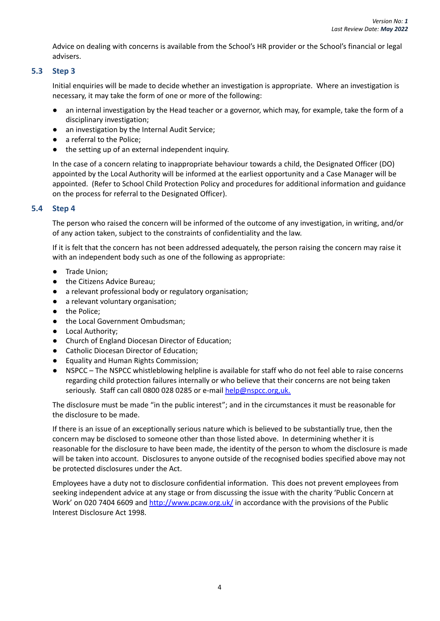Advice on dealing with concerns is available from the School's HR provider or the School's financial or legal advisers.

#### **5.3 Step 3**

Initial enquiries will be made to decide whether an investigation is appropriate. Where an investigation is necessary, it may take the form of one or more of the following:

- an internal investigation by the Head teacher or a governor, which may, for example, take the form of a disciplinary investigation;
- an investigation by the Internal Audit Service;
- a referral to the Police;
- the setting up of an external independent inquiry.

In the case of a concern relating to inappropriate behaviour towards a child, the Designated Officer (DO) appointed by the Local Authority will be informed at the earliest opportunity and a Case Manager will be appointed. (Refer to School Child Protection Policy and procedures for additional information and guidance on the process for referral to the Designated Officer).

#### **5.4 Step 4**

The person who raised the concern will be informed of the outcome of any investigation, in writing, and/or of any action taken, subject to the constraints of confidentiality and the law.

If it is felt that the concern has not been addressed adequately, the person raising the concern may raise it with an independent body such as one of the following as appropriate:

- Trade Union;
- the Citizens Advice Bureau;
- a relevant professional body or regulatory organisation;
- a relevant voluntary organisation;
- the Police;
- the Local Government Ombudsman;
- Local Authority;
- Church of England Diocesan Director of Education;
- Catholic Diocesan Director of Education;
- Equality and Human Rights Commission;
- NSPCC The NSPCC whistleblowing helpline is available for staff who do not feel able to raise concerns regarding child protection failures internally or who believe that their concerns are not being taken seriously. Staff can call 0800 028 0285 or e-mail help@nspcc.org,uk.

The disclosure must be made "in the public interest"; and in the circumstances it must be reasonable for the disclosure to be made.

If there is an issue of an exceptionally serious nature which is believed to be substantially true, then the concern may be disclosed to someone other than those listed above. In determining whether it is reasonable for the disclosure to have been made, the identity of the person to whom the disclosure is made will be taken into account. Disclosures to anyone outside of the recognised bodies specified above may not be protected disclosures under the Act.

<span id="page-7-0"></span>Employees have a duty not to disclosure confidential information. This does not prevent employees from seeking independent advice at any stage or from discussing the issue with the charity 'Public Concern at Work' on 020 7404 6609 and <http://www.pcaw.org.uk/> in accordance with the provisions of the Public Interest Disclosure Act 1998.